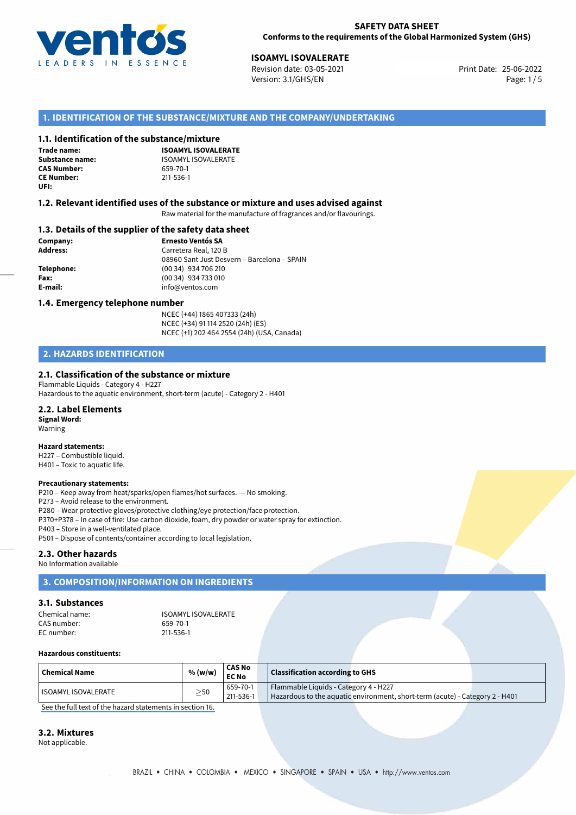

**ISOAMYL ISOVALERATE**<br> **25-06-2022 Revision date: 03-05-2021** Print Date: 25-06-2022 Version: 3.1/GHS/EN Page: 1 / 5

# **1. IDENTIFICATION OF THE SUBSTANCE/MIXTURE AND THE COMPANY/UNDERTAKING**

## **1.1. Identification of the substance/mixture**

**Trade name: CAS Number: CE Number:** 211-536-1 **UFI:**

**ISOAMYL ISOVALERATE Substance name:** ISOAMYL ISOVALERATE<br> **CAS Number:** 659-70-1

## **1.2. Relevant identified uses of the substance or mixture and uses advised against**

Raw material for the manufacture of fragrances and/or flavourings.

## **1.3. Details of the supplier of the safety data sheet**

**Company: Ernesto Ventós SA Address:** Carretera Real, 120 B 08960 Sant Just Desvern – Barcelona – SPAIN **Telephone:** (00 34) 934 706 210 **Fax:** (00 34) 934 733 010 **E-mail:** info@ventos.com

## **1.4. Emergency telephone number**

NCEC (+44) 1865 407333 (24h) NCEC (+34) 91 114 2520 (24h) (ES) NCEC (+1) 202 464 2554 (24h) (USA, Canada)

# **2. HAZARDS IDENTIFICATION**

# **2.1. Classification of the substance or mixture**

Flammable Liquids - Category 4 - H227 Hazardous to the aquatic environment, short-term (acute) - Category 2 - H401

## **2.2. Label Elements**

**Signal Word:** Warning

### **Hazard statements:**

H227 – Combustible liquid. H401 – Toxic to aquatic life.

### **Precautionary statements:**

P210 – Keep away from heat/sparks/open flames/hot surfaces. — No smoking.

P273 – Avoid release to the environment.

P280 – Wear protective gloves/protective clothing/eye protection/face protection.

P370+P378 – In case of fire: Use carbon dioxide, foam, dry powder or water spray for extinction.

P403 – Store in a well-ventilated place.

P501 – Dispose of contents/container according to local legislation.

## **2.3. Other hazards**

No Information available

# **3. COMPOSITION/INFORMATION ON INGREDIENTS**

## **3.1. Substances**

| Chemical name: | <b>ISOAMYL ISOVALERATE</b> |
|----------------|----------------------------|
| CAS number:    | 659-70-1                   |
| EC number:     | 211-536-1                  |

### **Hazardous constituents:**

| <b>Chemical Name</b>  | % (w/w)   | <b>CAS No</b><br><b>EC No</b> | <b>Classification according to GHS</b>                                                                                |  |
|-----------------------|-----------|-------------------------------|-----------------------------------------------------------------------------------------------------------------------|--|
| l ISOAMYL ISOVALERATE | $\geq$ 50 | 659-70-1<br>211-536-1         | Flammable Liquids - Category 4 - H227<br>Hazardous to the aquatic environment, short-term (acute) - Category 2 - H401 |  |

[See the full text of the hazard statements in section 16.](#page--1-0)

### **3.2. Mixtures**

Not applicable.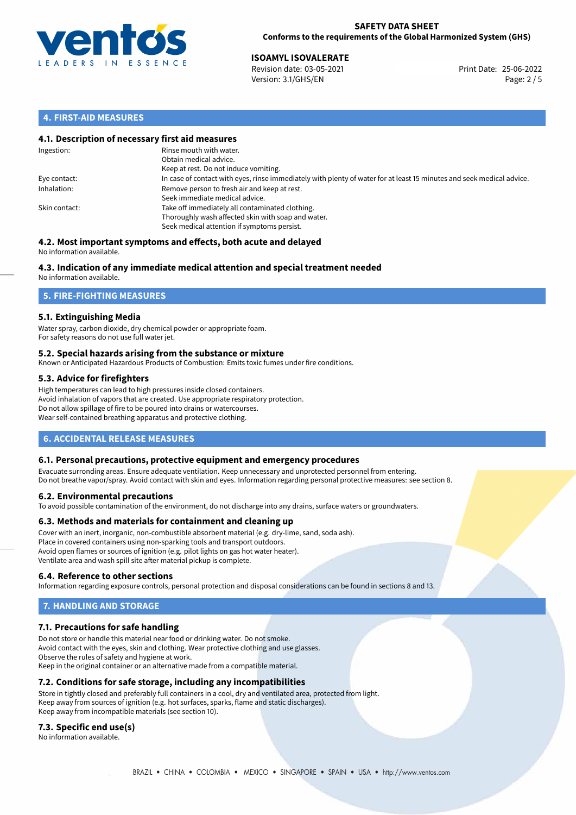

25-06-2022 **ISOAMYL ISOVALERATE** Revision date: 03-05-2021 Print Date: Version: 3.1/GHS/EN Page: 2 / 5

# **4. FIRST-AID MEASURES**

# **4.1. Description of necessary first aid measures**

| Ingestion:    | Rinse mouth with water.<br>Obtain medical advice.<br>Keep at rest. Do not induce vomiting.                                                           |
|---------------|------------------------------------------------------------------------------------------------------------------------------------------------------|
| Eye contact:  | In case of contact with eyes, rinse immediately with plenty of water for at least 15 minutes and seek medical advice.                                |
| Inhalation:   | Remove person to fresh air and keep at rest.<br>Seek immediate medical advice.                                                                       |
| Skin contact: | Take off immediately all contaminated clothing.<br>Thoroughly wash affected skin with soap and water.<br>Seek medical attention if symptoms persist. |

#### **4.2. Most important symptoms and effects, both acute and delayed** No information available.

# **4.3. Indication of any immediate medical attention and special treatment needed**

No information available.

# **5. FIRE-FIGHTING MEASURES**

# **5.1. Extinguishing Media**

Water spray, carbon dioxide, dry chemical powder or appropriate foam. For safety reasons do not use full water jet.

## **5.2. Special hazards arising from the substance or mixture**

Known or Anticipated Hazardous Products of Combustion: Emits toxic fumes under fire conditions.

# **5.3. Advice for firefighters**

High temperatures can lead to high pressures inside closed containers. Avoid inhalation of vapors that are created. Use appropriate respiratory protection. Do not allow spillage of fire to be poured into drains or watercourses. Wear self-contained breathing apparatus and protective clothing.

# **6. ACCIDENTAL RELEASE MEASURES**

## **6.1. Personal precautions, protective equipment and emergency procedures**

Evacuate surronding areas. Ensure adequate ventilation. Keep unnecessary and unprotected personnel from entering. Do not breathe vapor/spray. Avoid contact with skin and eyes. Information regarding personal protective measures: see section 8.

## **6.2. Environmental precautions**

To avoid possible contamination of the environment, do not discharge into any drains, surface waters or groundwaters.

## **6.3. Methods and materials for containment and cleaning up**

Cover with an inert, inorganic, non-combustible absorbent material (e.g. dry-lime, sand, soda ash). Place in covered containers using non-sparking tools and transport outdoors. Avoid open flames or sources of ignition (e.g. pilot lights on gas hot water heater). Ventilate area and wash spill site after material pickup is complete.

## **6.4. Reference to other sections**

Information regarding exposure controls, personal protection and disposal considerations can be found in sections 8 and 13.

# **7. HANDLING AND STORAGE**

# **7.1. Precautions for safe handling**

Do not store or handle this material near food or drinking water. Do not smoke. Avoid contact with the eyes, skin and clothing. Wear protective clothing and use glasses. Observe the rules of safety and hygiene at work. Keep in the original container or an alternative made from a compatible material.

# **7.2. Conditions for safe storage, including any incompatibilities**

Store in tightly closed and preferably full containers in a cool, dry and ventilated area, protected from light. Keep away from sources of ignition (e.g. hot surfaces, sparks, flame and static discharges). Keep away from incompatible materials (see section 10).

## **7.3. Specific end use(s)**

No information available.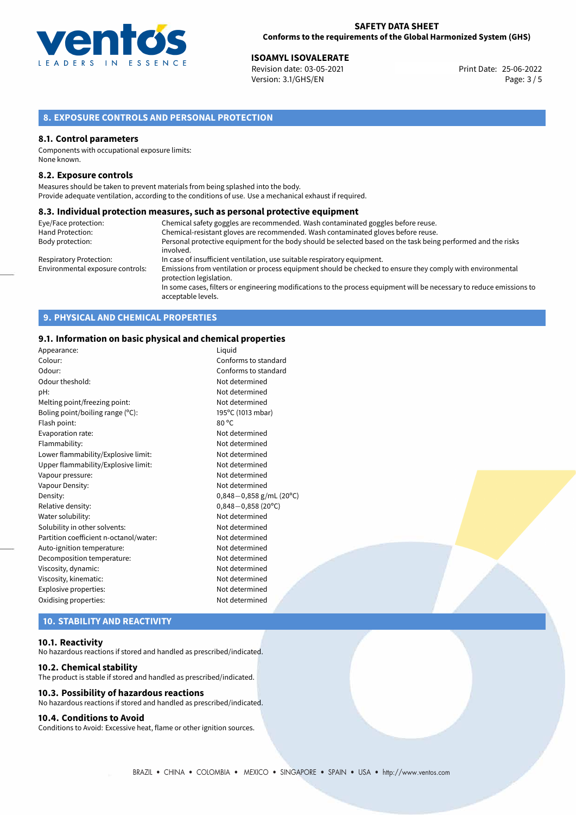

25-06-2022 **ISOAMYL ISOVALERATE** Revision date: 03-05-2021 Print Date: Version: 3.1/GHS/EN Page: 3 / 5

# **8. EXPOSURE CONTROLS AND PERSONAL PROTECTION**

## **8.1. Control parameters**

Components with occupational exposure limits: None known.

## **8.2. Exposure controls**

Measures should be taken to prevent materials from being splashed into the body. Provide adequate ventilation, according to the conditions of use. Use a mechanical exhaust if required.

## **8.3. Individual protection measures, such as personal protective equipment**

| Eye/Face protection:             | Chemical safety goggles are recommended. Wash contaminated goggles before reuse.                                                            |
|----------------------------------|---------------------------------------------------------------------------------------------------------------------------------------------|
| Hand Protection:                 | Chemical-resistant gloves are recommended. Wash contaminated gloves before reuse.                                                           |
| Body protection:                 | Personal protective equipment for the body should be selected based on the task being performed and the risks                               |
|                                  | involved.                                                                                                                                   |
| <b>Respiratory Protection:</b>   | In case of insufficient ventilation, use suitable respiratory equipment.                                                                    |
| Environmental exposure controls: | Emissions from ventilation or process equipment should be checked to ensure they comply with environmental<br>protection legislation.       |
|                                  | In some cases, filters or engineering modifications to the process equipment will be necessary to reduce emissions to<br>acceptable levels. |

# **9. PHYSICAL AND CHEMICAL PROPERTIES**

## **9.1. Information on basic physical and chemical properties**

| Appearance:                            | Liquid                    |
|----------------------------------------|---------------------------|
| Colour:                                | Conforms to standard      |
| Odour:                                 | Conforms to standard      |
| Odour theshold:                        | Not determined            |
| pH:                                    | Not determined            |
| Melting point/freezing point:          | Not determined            |
| Boling point/boiling range (°C):       | 195°C (1013 mbar)         |
| Flash point:                           | $80^{\circ}$ C            |
| Evaporation rate:                      | Not determined            |
| Flammability:                          | Not determined            |
| Lower flammability/Explosive limit:    | Not determined            |
| Upper flammability/Explosive limit:    | Not determined            |
| Vapour pressure:                       | Not determined            |
| Vapour Density:                        | Not determined            |
| Density:                               | $0,848-0,858$ g/mL (20°C) |
| Relative density:                      | $0,848 - 0,858$ (20°C)    |
| Water solubility:                      | Not determined            |
| Solubility in other solvents:          | Not determined            |
| Partition coefficient n-octanol/water: | Not determined            |
| Auto-ignition temperature:             | Not determined            |
| Decomposition temperature:             | Not determined            |
| Viscosity, dynamic:                    | Not determined            |
| Viscosity, kinematic:                  | Not determined            |
| Explosive properties:                  | Not determined            |
| Oxidising properties:                  | Not determined            |
|                                        |                           |

# **10. STABILITY AND REACTIVITY**

### **10.1. Reactivity**

No hazardous reactions if stored and handled as prescribed/indicated.

### **10.2. Chemical stability**

The product is stable if stored and handled as prescribed/indicated.

## **10.3. Possibility of hazardous reactions**

No hazardous reactions if stored and handled as prescribed/indicated.

## **10.4. Conditions to Avoid**

Conditions to Avoid: Excessive heat, flame or other ignition sources.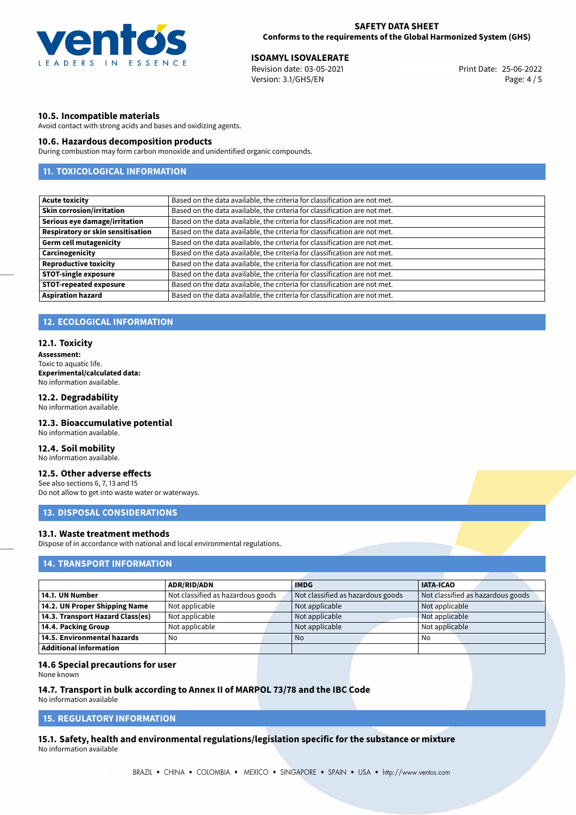

25-06-2022 **ISOAMYL ISOVALERATE** Revision date: 03-05-2021 Print Date: Version: 3.1/GHS/EN Page: 4 / 5

# **10.5. Incompatible materials**

Avoid contact with strong acids and bases and oxidizing agents.

## **10.6. Hazardous decomposition products**

During combustion may form carbon monoxide and unidentified organic compounds.

# **11. TOXICOLOGICAL INFORMATION**

| Based on the data available, the criteria for classification are not met. |
|---------------------------------------------------------------------------|
| Based on the data available, the criteria for classification are not met. |
| Based on the data available, the criteria for classification are not met. |
| Based on the data available, the criteria for classification are not met. |
| Based on the data available, the criteria for classification are not met. |
| Based on the data available, the criteria for classification are not met. |
| Based on the data available, the criteria for classification are not met. |
| Based on the data available, the criteria for classification are not met. |
| Based on the data available, the criteria for classification are not met. |
| Based on the data available, the criteria for classification are not met. |
|                                                                           |

# **12. ECOLOGICAL INFORMATION**

## **12.1. Toxicity**

**Assessment:** Toxic to aquatic life. **Experimental/calculated data:** No information available.

# **12.2. Degradability**

No information available.

# **12.3. Bioaccumulative potential**

No information available.

# **12.4. Soil mobility**

No information available.

# **12.5. Other adverse effects**

See also sections 6, 7, 13 and 15 Do not allow to get into waste water or waterways.

## **13. DISPOSAL CONSIDERATIONS**

# **13.1. Waste treatment methods**

Dispose of in accordance with national and local environmental regulations.

# **14. TRANSPORT INFORMATION**

|                                  | <b>ADR/RID/ADN</b>                | <b>IMDG</b>                       | <b>IATA-ICAO</b>                  |
|----------------------------------|-----------------------------------|-----------------------------------|-----------------------------------|
| 14.1. UN Number                  | Not classified as hazardous goods | Not classified as hazardous goods | Not classified as hazardous goods |
| 14.2. UN Proper Shipping Name    | Not applicable                    | Not applicable                    | Not applicable                    |
| 14.3. Transport Hazard Class(es) | Not applicable                    | Not applicable                    | Not applicable                    |
| 14.4. Packing Group              | Not applicable                    | Not applicable                    | Not applicable                    |
| 14.5. Environmental hazards      | No                                | <b>No</b>                         | No                                |
| Additional information           |                                   |                                   |                                   |

## **14.6 Special precautions for user**

None known

## **14.7. Transport in bulk according to Annex II of MARPOL 73/78 and the IBC Code**

No information available

# **15. REGULATORY INFORMATION**

**15.1. Safety, health and environmental regulations/legislation specific for the substance or mixture** No information available